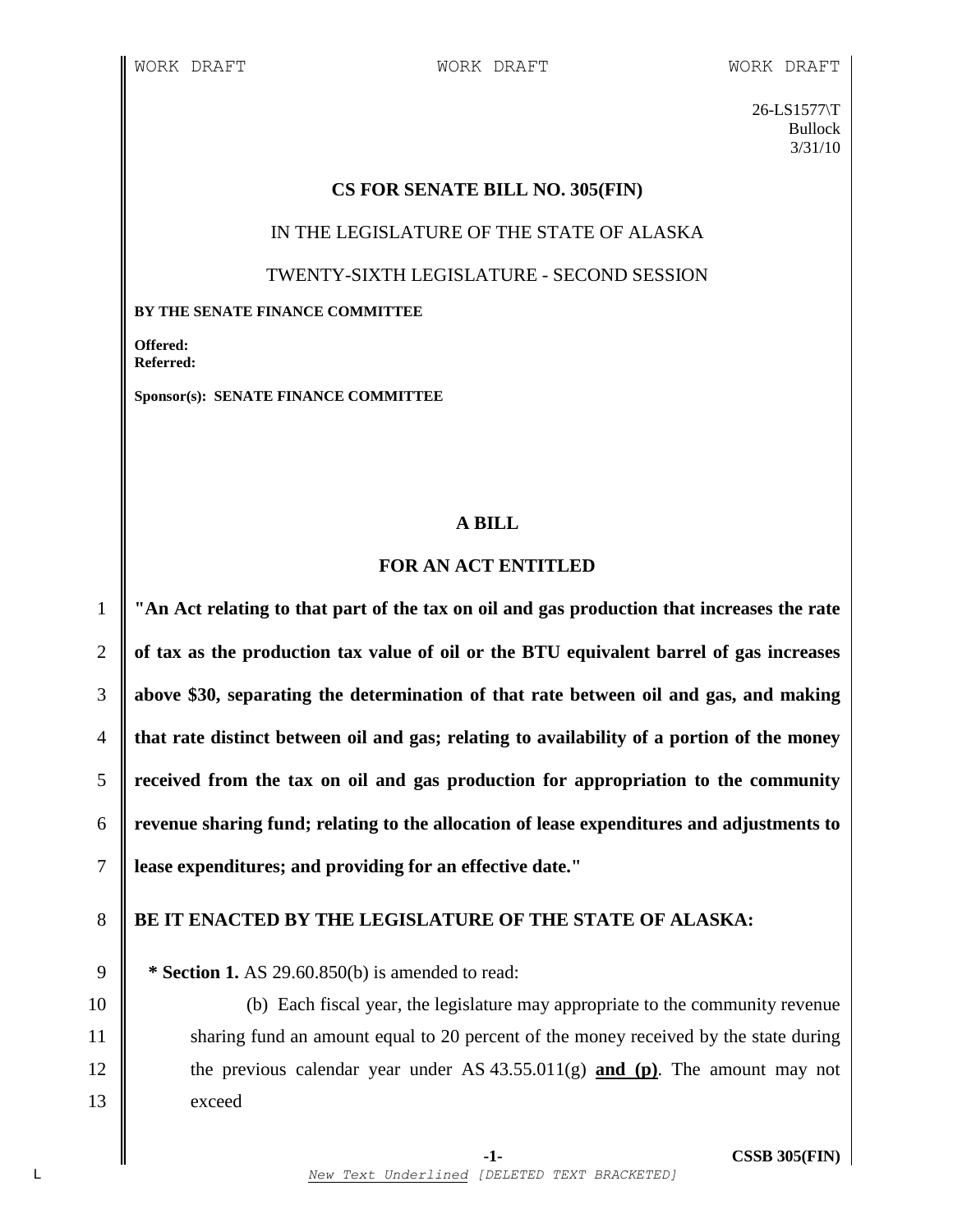26-LS1577\T Bullock 3/31/10

## **CS FOR SENATE BILL NO. 305(FIN)**

IN THE LEGISLATURE OF THE STATE OF ALASKA

## TWENTY-SIXTH LEGISLATURE - SECOND SESSION

#### **BY THE SENATE FINANCE COMMITTEE**

**Offered: Referred:** 

**Sponsor(s): SENATE FINANCE COMMITTEE**

## **A BILL**

# **FOR AN ACT ENTITLED**

 **"An Act relating to that part of the tax on oil and gas production that increases the rate of tax as the production tax value of oil or the BTU equivalent barrel of gas increases above \$30, separating the determination of that rate between oil and gas, and making that rate distinct between oil and gas; relating to availability of a portion of the money received from the tax on oil and gas production for appropriation to the community revenue sharing fund; relating to the allocation of lease expenditures and adjustments to lease expenditures; and providing for an effective date."**

# 8 **BE IT ENACTED BY THE LEGISLATURE OF THE STATE OF ALASKA:**

9 **\* Section 1.** AS 29.60.850(b) is amended to read:

10 (b) Each fiscal year, the legislature may appropriate to the community revenue 11 Sharing fund an amount equal to 20 percent of the money received by the state during 12 the previous calendar year under AS 43.55.011(g) **and (p)**. The amount may not 13 exceed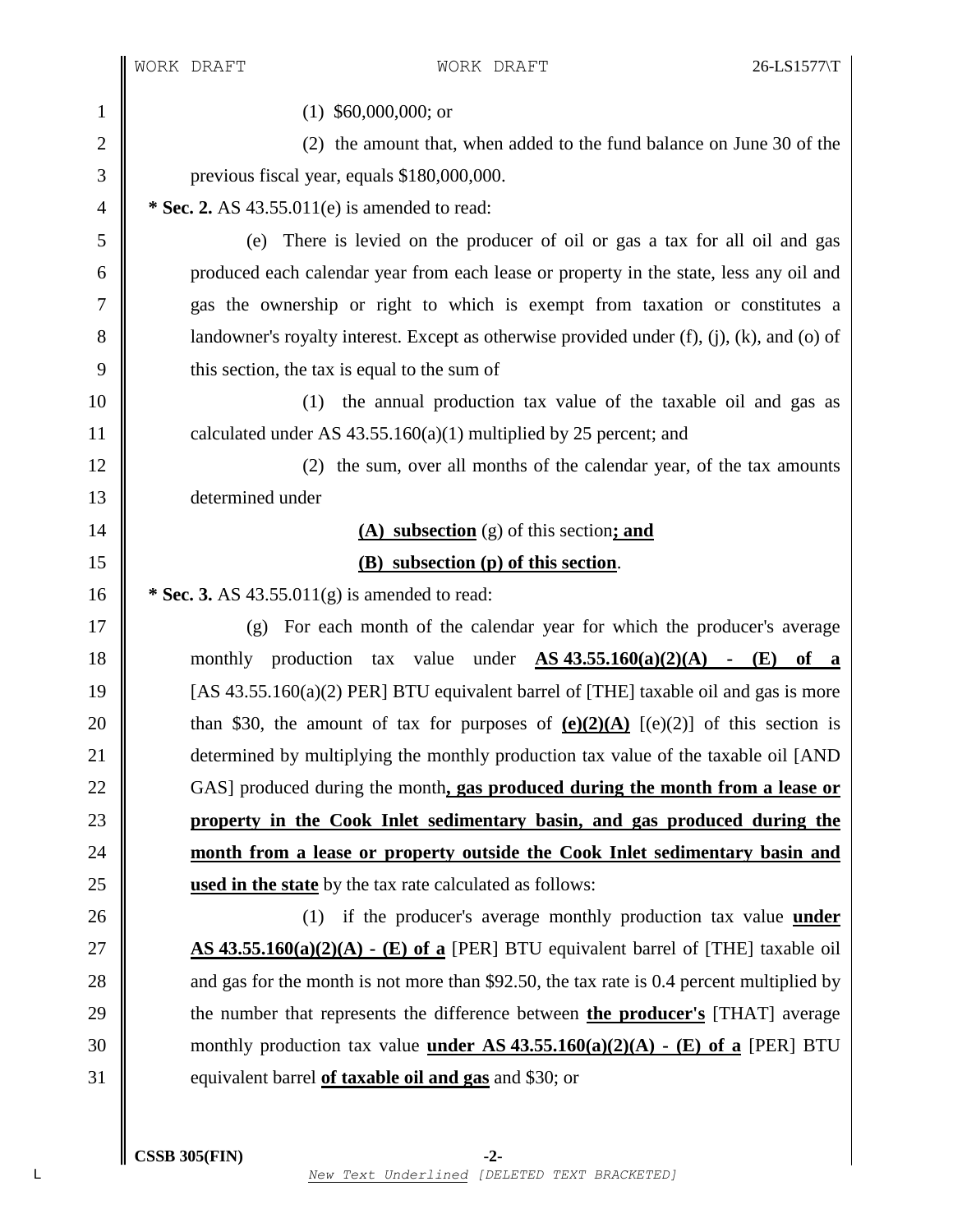1 (1) \$60,000,000; or 2 (2) the amount that, when added to the fund balance on June 30 of the previous fiscal year, equals \$180,000,000.  **\* Sec. 2.** AS 43.55.011(e) is amended to read: (e) There is levied on the producer of oil or gas a tax for all oil and gas produced each calendar year from each lease or property in the state, less any oil and gas the ownership or right to which is exempt from taxation or constitutes a 8 | landowner's royalty interest. Except as otherwise provided under  $(f)$ ,  $(i)$ ,  $(k)$ , and  $(o)$  of  $9 \parallel$  this section, the tax is equal to the sum of (1) the annual production tax value of the taxable oil and gas as  $\parallel$  calculated under AS 43.55.160(a)(1) multiplied by 25 percent; and 12 (2) the sum, over all months of the calendar year, of the tax amounts determined under **(A) subsection** (g) of this section**; and (B) subsection (p) of this section**.  **\* Sec. 3.** AS 43.55.011(g) is amended to read: (g) For each month of the calendar year for which the producer's average monthly production tax value under **AS 43.55.160(a)(2)(A) - (E) of a**  $\parallel$  [AS 43.55.160(a)(2) PER] BTU equivalent barrel of [THE] taxable oil and gas is more  $\parallel$  than \$30, the amount of tax for purposes of  $(e)(2)(A)$   $[(e)(2)]$  of this section is **determined by multiplying the monthly production tax value of the taxable oil [AND**  GAS] produced during the month**, gas produced during the month from a lease or property in the Cook Inlet sedimentary basin, and gas produced during the month from a lease or property outside the Cook Inlet sedimentary basin and used in the state** by the tax rate calculated as follows: 26 (1) if the producer's average monthly production tax value **under AS 43.55.160(a)(2)(A) - (E) of a** [PER] BTU equivalent barrel of [THE] taxable oil 28 and gas for the month is not more than \$92.50, the tax rate is 0.4 percent multiplied by the number that represents the difference between **the producer's** [THAT] average monthly production tax value **under AS 43.55.160(a)(2)(A) - (E) of a** [PER] BTU equivalent barrel **of taxable oil and gas** and \$30; or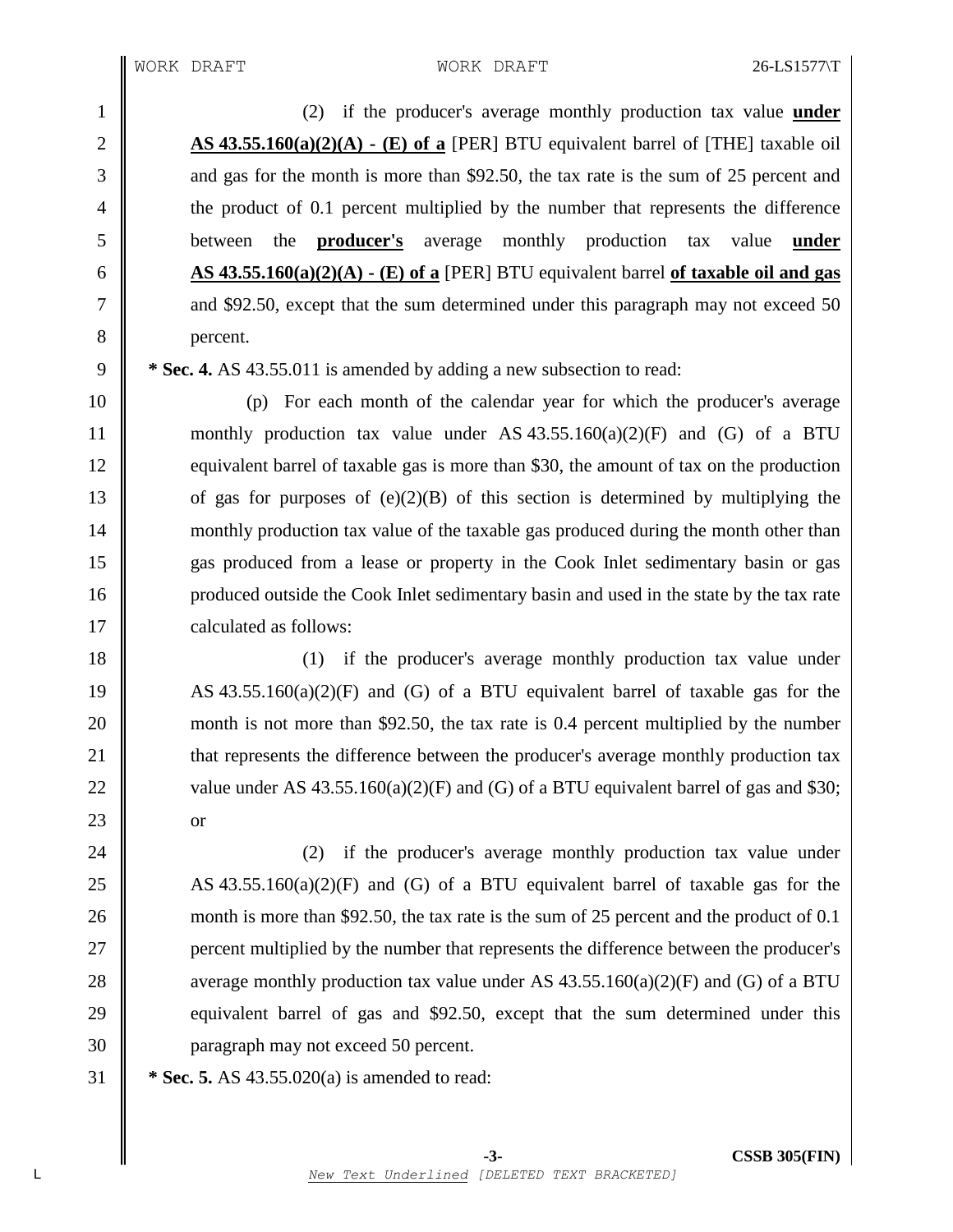(2) if the producer's average monthly production tax value **under AS 43.55.160(a)(2)(A) - (E) of a** [PER] BTU equivalent barrel of [THE] taxable oil 3 and gas for the month is more than \$92.50, the tax rate is the sum of 25 percent and the product of 0.1 percent multiplied by the number that represents the difference between the **producer's** average monthly production tax value **under AS**  $\overline{43.55.160(a)(2)(A)}$   $\cdot$  **(E)** of **a** [PER] BTU equivalent barrel of **taxable** oil **and gas**  $\parallel$  and \$92.50, except that the sum determined under this paragraph may not exceed 50 8 percent.

9 **\* Sec. 4.** AS 43.55.011 is amended by adding a new subsection to read:

10 (p) For each month of the calendar year for which the producer's average 11 monthly production tax value under AS  $43.55.160(a)(2)(F)$  and (G) of a BTU 12 equivalent barrel of taxable gas is more than \$30, the amount of tax on the production 13  $\parallel$  of gas for purposes of (e)(2)(B) of this section is determined by multiplying the 14 monthly production tax value of the taxable gas produced during the month other than 15 gas produced from a lease or property in the Cook Inlet sedimentary basin or gas 16 produced outside the Cook Inlet sedimentary basin and used in the state by the tax rate 17 | calculated as follows:

18 || (1) if the producer's average monthly production tax value under 19 AS 43.55.160(a)(2)(F) and (G) of a BTU equivalent barrel of taxable gas for the 20 month is not more than \$92.50, the tax rate is 0.4 percent multiplied by the number 21 **that represents the difference between the producer's average monthly production tax** 22 value under AS  $43.55.160(a)(2)(F)$  and (G) of a BTU equivalent barrel of gas and \$30;  $23 \parallel$  or

24 (2) if the producer's average monthly production tax value under 25 AS 43.55.160(a)(2)(F) and (G) of a BTU equivalent barrel of taxable gas for the 26 month is more than \$92.50, the tax rate is the sum of 25 percent and the product of 0.1 27 **percent multiplied by the number that represents the difference between the producer's** 28 average monthly production tax value under AS  $43.55.160(a)(2)(F)$  and (G) of a BTU 29 equivalent barrel of gas and \$92.50, except that the sum determined under this 30 paragraph may not exceed 50 percent.

31 **\* Sec. 5.** AS 43.55.020(a) is amended to read: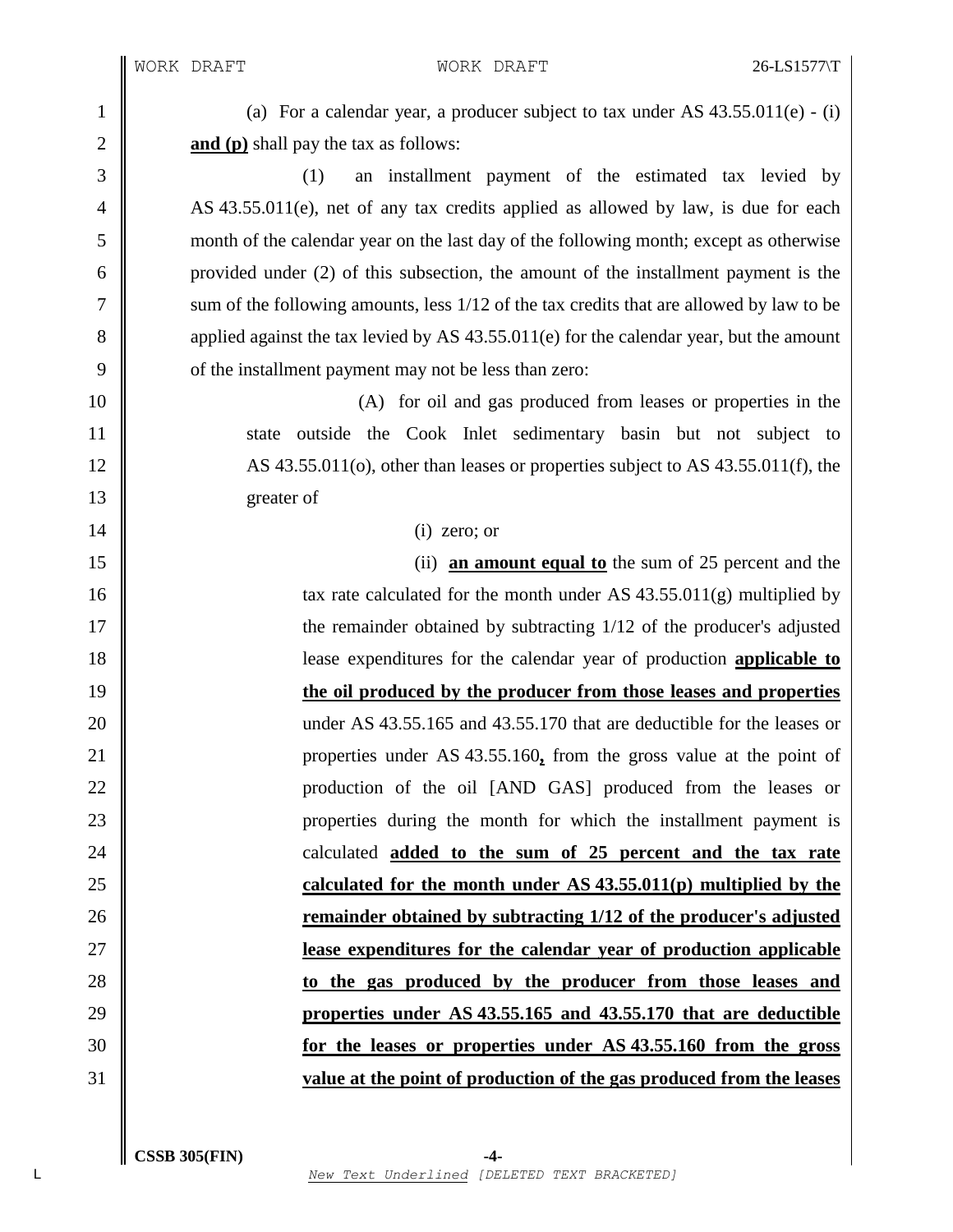1 (a) For a calendar year, a producer subject to tax under AS  $43.55.011(e)$  - (i) **and (p)** shall pay the tax as follows:

 (1) an installment payment of the estimated tax levied by 4 AS 43.55.011(e), net of any tax credits applied as allowed by law, is due for each month of the calendar year on the last day of the following month; except as otherwise provided under (2) of this subsection, the amount of the installment payment is the sum of the following amounts, less 1/12 of the tax credits that are allowed by law to be 8 applied against the tax levied by AS 43.55.011(e) for the calendar year, but the amount 9 of the installment payment may not be less than zero:

 (A) for oil and gas produced from leases or properties in the 11 State outside the Cook Inlet sedimentary basin but not subject to 12 AS 43.55.011(o), other than leases or properties subject to AS 43.55.011(f), the greater of

#### $14 \parallel$  (i) zero; or

 (ii) **an amount equal to** the sum of 25 percent and the **tax rate calculated for the month under AS** 43.55.011(g) multiplied by **the remainder obtained by subtracting 1/12 of the producer's adjusted**  lease expenditures for the calendar year of production **applicable to the oil produced by the producer from those leases and properties** 20 under AS 43.55.165 and 43.55.170 that are deductible for the leases or properties under AS 43.55.160**,** from the gross value at the point of 22 || production of the oil [AND GAS] produced from the leases or properties during the month for which the installment payment is calculated **added to the sum of 25 percent and the tax rate calculated for the month under AS 43.55.011(p) multiplied by the remainder obtained by subtracting 1/12 of the producer's adjusted lease expenditures for the calendar year of production applicable to the gas produced by the producer from those leases and properties under AS 43.55.165 and 43.55.170 that are deductible for the leases or properties under AS 43.55.160 from the gross value at the point of production of the gas produced from the leases**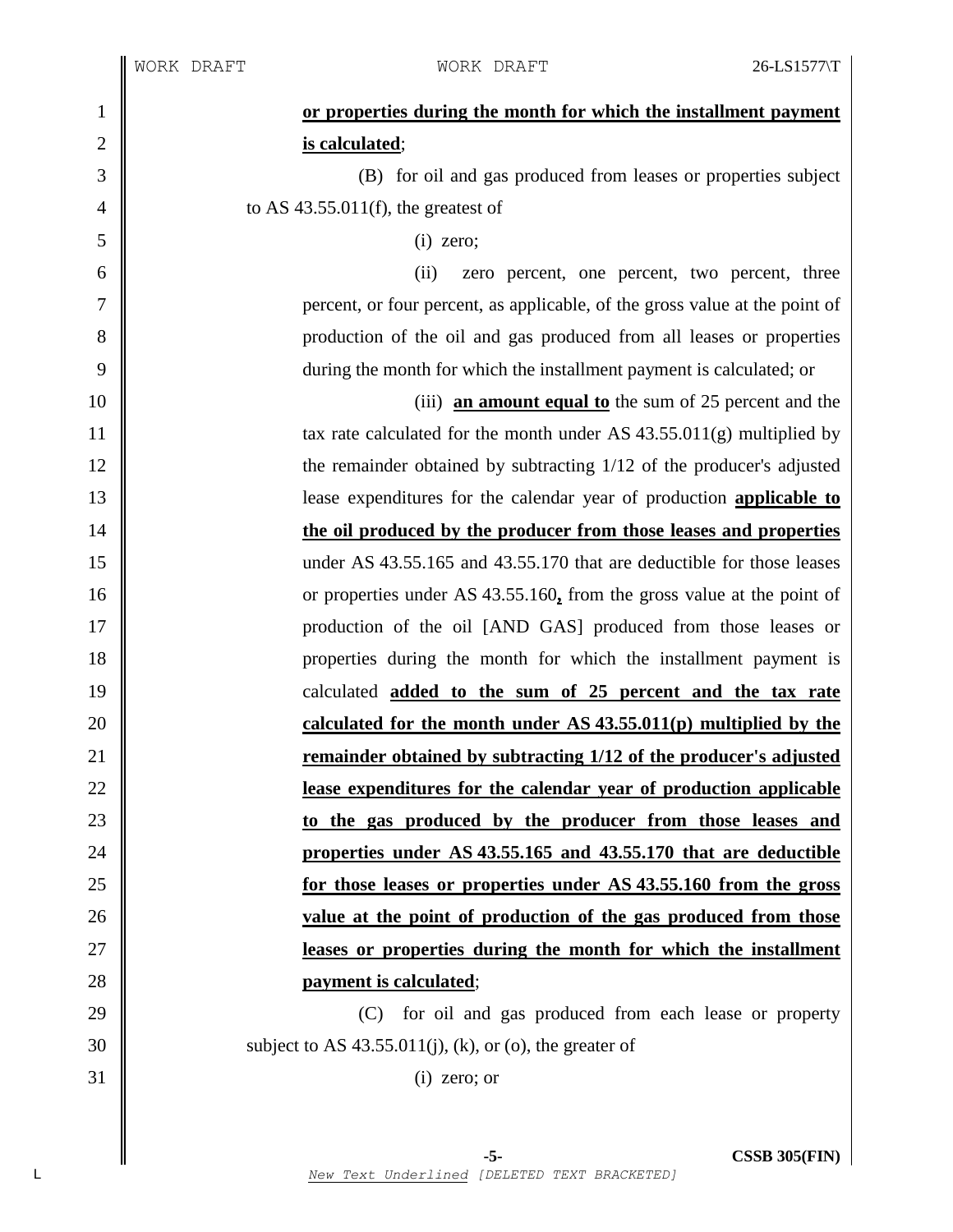| $\mathbf{1}$   | or properties during the month for which the installment payment            |
|----------------|-----------------------------------------------------------------------------|
| $\mathbf{2}$   | is calculated;                                                              |
| 3              | (B) for oil and gas produced from leases or properties subject              |
| $\overline{4}$ | to AS $43.55.011(f)$ , the greatest of                                      |
| 5              | $(i)$ zero;                                                                 |
| 6              | (ii)<br>zero percent, one percent, two percent, three                       |
| 7              | percent, or four percent, as applicable, of the gross value at the point of |
| 8              | production of the oil and gas produced from all leases or properties        |
| 9              | during the month for which the installment payment is calculated; or        |
| 10             | (iii) an amount equal to the sum of 25 percent and the                      |
| 11             | tax rate calculated for the month under AS $43.55.011(g)$ multiplied by     |
| 12             | the remainder obtained by subtracting 1/12 of the producer's adjusted       |
| 13             | lease expenditures for the calendar year of production <b>applicable to</b> |
| 14             | the oil produced by the producer from those leases and properties           |
| 15             | under AS 43.55.165 and 43.55.170 that are deductible for those leases       |
| 16             | or properties under AS 43.55.160, from the gross value at the point of      |
| 17             | production of the oil [AND GAS] produced from those leases or               |
| 18             | properties during the month for which the installment payment is            |
| 19             | calculated <b>added to the sum of 25 percent and the tax rate</b>           |
| 20             | calculated for the month under AS $43.55.011(p)$ multiplied by the          |
| 21             | remainder obtained by subtracting 1/12 of the producer's adjusted           |
| 22             | lease expenditures for the calendar year of production applicable           |
| 23             | to the gas produced by the producer from those leases and                   |
| 24             | properties under AS 43.55.165 and 43.55.170 that are deductible             |
| 25             | for those leases or properties under AS 43.55.160 from the gross            |
| 26             | value at the point of production of the gas produced from those             |
| 27             | leases or properties during the month for which the installment             |
| 28             | payment is calculated;                                                      |
| 29             | (C) for oil and gas produced from each lease or property                    |
| 30             | subject to AS $43.55.011(j)$ , (k), or (o), the greater of                  |
| 31             | $(i)$ zero; or                                                              |
|                |                                                                             |
|                |                                                                             |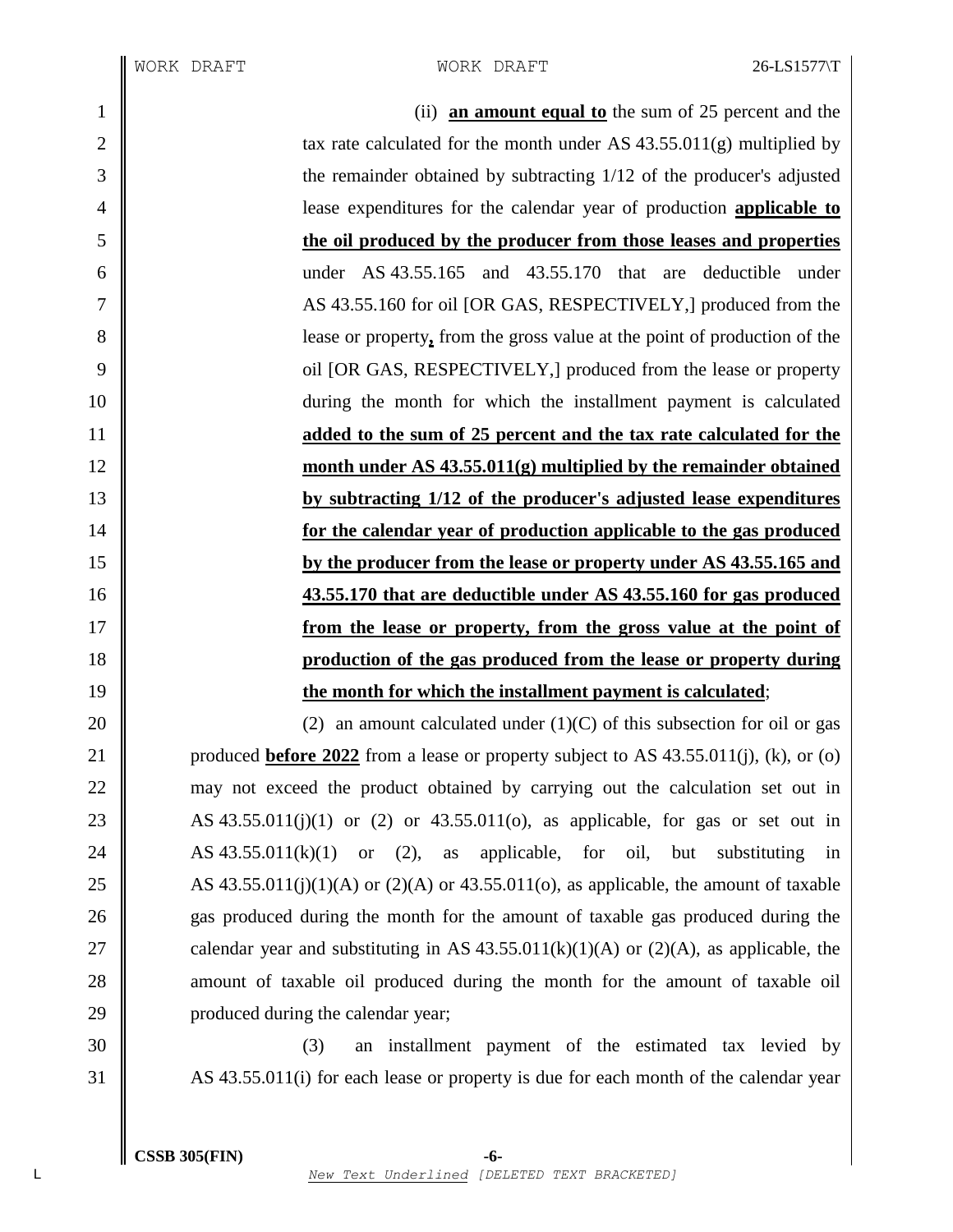(ii) **an amount equal to** the sum of 25 percent and the  $\parallel$  tax rate calculated for the month under AS 43.55.011(g) multiplied by the remainder obtained by subtracting 1/12 of the producer's adjusted lease expenditures for the calendar year of production **applicable to the oil produced by the producer from those leases and properties** under AS 43.55.165 and 43.55.170 that are deductible under 7 AS 43.55.160 for oil [OR GAS, RESPECTIVELY,] produced from the lease or property**,** from the gross value at the point of production of the **OU** oil [OR GAS, RESPECTIVELY,] produced from the lease or property during the month for which the installment payment is calculated **added to the sum of 25 percent and the tax rate calculated for the month under AS 43.55.011(g) multiplied by the remainder obtained by subtracting 1/12 of the producer's adjusted lease expenditures for the calendar year of production applicable to the gas produced by the producer from the lease or property under AS 43.55.165 and 43.55.170 that are deductible under AS 43.55.160 for gas produced from the lease or property, from the gross value at the point of production of the gas produced from the lease or property during the month for which the installment payment is calculated**;  $\parallel$  (2) an amount calculated under (1)(C) of this subsection for oil or gas **produced <u>before 2022</u>** from a lease or property subject to AS 43.55.011(j), (k), or (o) 22 may not exceed the product obtained by carrying out the calculation set out in

23 AS 43.55.011(j)(1) or (2) or 43.55.011(o), as applicable, for gas or set out in 24  $\parallel$  AS 43.55.011(k)(1) or (2), as applicable, for oil, but substituting in 25 AS 43.55.011(j)(1)(A) or (2)(A) or 43.55.011(o), as applicable, the amount of taxable 26 gas produced during the month for the amount of taxable gas produced during the 27 calendar year and substituting in AS  $43.55.011(k)(1)(A)$  or  $(2)(A)$ , as applicable, the 28 amount of taxable oil produced during the month for the amount of taxable oil 29 **produced during the calendar year;** 

30 (3) an installment payment of the estimated tax levied by 31 AS 43.55.011(i) for each lease or property is due for each month of the calendar year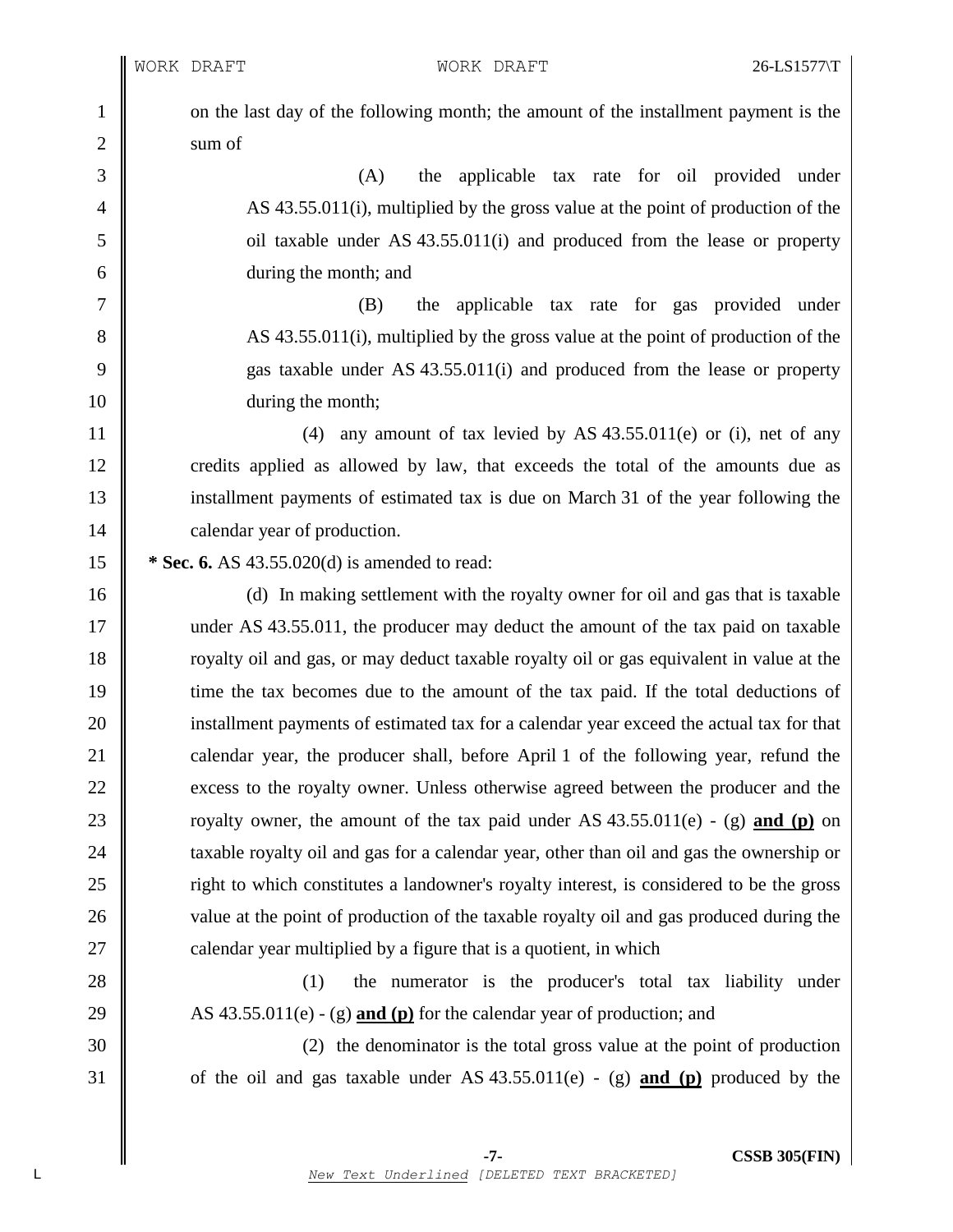WORK DRAFT WORK DRAFT 26-LS1577\T

1 on the last day of the following month; the amount of the installment payment is the 2 | sum of

 (A) the applicable tax rate for oil provided under AS 43.55.011(i), multiplied by the gross value at the point of production of the oil taxable under AS 43.55.011(i) and produced from the lease or property during the month; and

7 (B) the applicable tax rate for gas provided under 8 AS 43.55.011(i), multiplied by the gross value at the point of production of the 9 gas taxable under AS 43.55.011(i) and produced from the lease or property 10 || during the month;

11  $\parallel$  (4) any amount of tax levied by AS 43.55.011(e) or (i), net of any 12 credits applied as allowed by law, that exceeds the total of the amounts due as 13 installment payments of estimated tax is due on March 31 of the year following the 14 | calendar year of production.

15 **\* Sec. 6.** AS 43.55.020(d) is amended to read:

16 (d) In making settlement with the royalty owner for oil and gas that is taxable 17 under AS 43.55.011, the producer may deduct the amount of the tax paid on taxable 18 The royalty oil and gas, or may deduct taxable royalty oil or gas equivalent in value at the 19 time the tax becomes due to the amount of the tax paid. If the total deductions of 20 installment payments of estimated tax for a calendar year exceed the actual tax for that 21 calendar year, the producer shall, before April 1 of the following year, refund the 22 excess to the royalty owner. Unless otherwise agreed between the producer and the 23 Towalty owner, the amount of the tax paid under AS  $43.55.011(e)$  - (g) and (p) on 24 taxable royalty oil and gas for a calendar year, other than oil and gas the ownership or 25 Tight to which constitutes a landowner's royalty interest, is considered to be the gross 26 value at the point of production of the taxable royalty oil and gas produced during the  $27 \parallel$  calendar year multiplied by a figure that is a quotient, in which

28 (1) the numerator is the producer's total tax liability under 29  $\parallel$  AS 43.55.011(e) - (g) **and** (p) for the calendar year of production; and

30 (2) the denominator is the total gross value at the point of production 31  $\parallel$  of the oil and gas taxable under AS 43.55.011(e) - (g) **and (p)** produced by the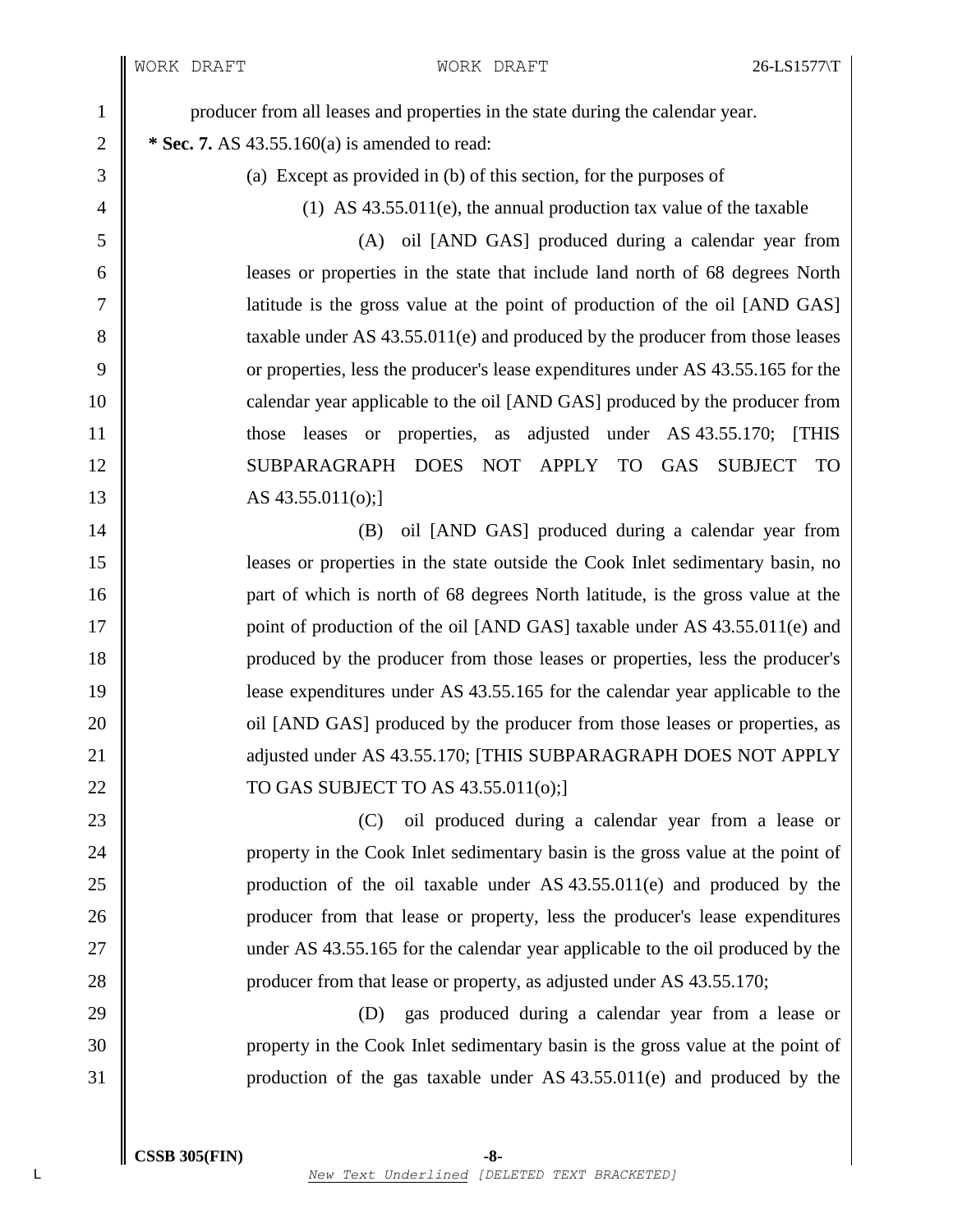I I

| $\mathbf{1}$   | producer from all leases and properties in the state during the calendar year.   |
|----------------|----------------------------------------------------------------------------------|
| $\overline{2}$ | * Sec. 7. AS 43.55.160(a) is amended to read:                                    |
| 3              | (a) Except as provided in (b) of this section, for the purposes of               |
| 4              | $(1)$ AS 43.55.011(e), the annual production tax value of the taxable            |
| 5              | (A) oil [AND GAS] produced during a calendar year from                           |
| 6              | leases or properties in the state that include land north of 68 degrees North    |
| 7              | latitude is the gross value at the point of production of the oil [AND GAS]      |
| 8              | taxable under AS $43.55.011(e)$ and produced by the producer from those leases   |
| 9              | or properties, less the producer's lease expenditures under AS 43.55.165 for the |
| 10             | calendar year applicable to the oil [AND GAS] produced by the producer from      |
| 11             | those leases or properties, as adjusted under AS 43.55.170;<br><b>THIS</b>       |
| 12             | SUBPARAGRAPH DOES<br>NOT APPLY TO<br><b>GAS</b><br><b>SUBJECT</b><br><b>TO</b>   |
| 13             | AS 43.55.011(o);]                                                                |
| 14             | oil [AND GAS] produced during a calendar year from<br>(B)                        |
| 15             | leases or properties in the state outside the Cook Inlet sedimentary basin, no   |
| 16             | part of which is north of 68 degrees North latitude, is the gross value at the   |
| 17             | point of production of the oil [AND GAS] taxable under AS 43.55.011(e) and       |
| 18             | produced by the producer from those leases or properties, less the producer's    |
| 19             | lease expenditures under AS 43.55.165 for the calendar year applicable to the    |
| 20             | oil [AND GAS] produced by the producer from those leases or properties, as       |
| 21             | adjusted under AS 43.55.170; [THIS SUBPARAGRAPH DOES NOT APPLY                   |
| 22             | TO GAS SUBJECT TO AS 43.55.011(o);]                                              |
| 23             | oil produced during a calendar year from a lease or<br>(C)                       |
| 24             | property in the Cook Inlet sedimentary basin is the gross value at the point of  |
| 25             | production of the oil taxable under AS $43.55.011(e)$ and produced by the        |
| 26             | producer from that lease or property, less the producer's lease expenditures     |
| 27             | under AS 43.55.165 for the calendar year applicable to the oil produced by the   |
| 28             | producer from that lease or property, as adjusted under AS 43.55.170;            |
| 29             | gas produced during a calendar year from a lease or<br>(D)                       |
| 30             | property in the Cook Inlet sedimentary basin is the gross value at the point of  |
| 31             | production of the gas taxable under AS $43.55.011(e)$ and produced by the        |
|                |                                                                                  |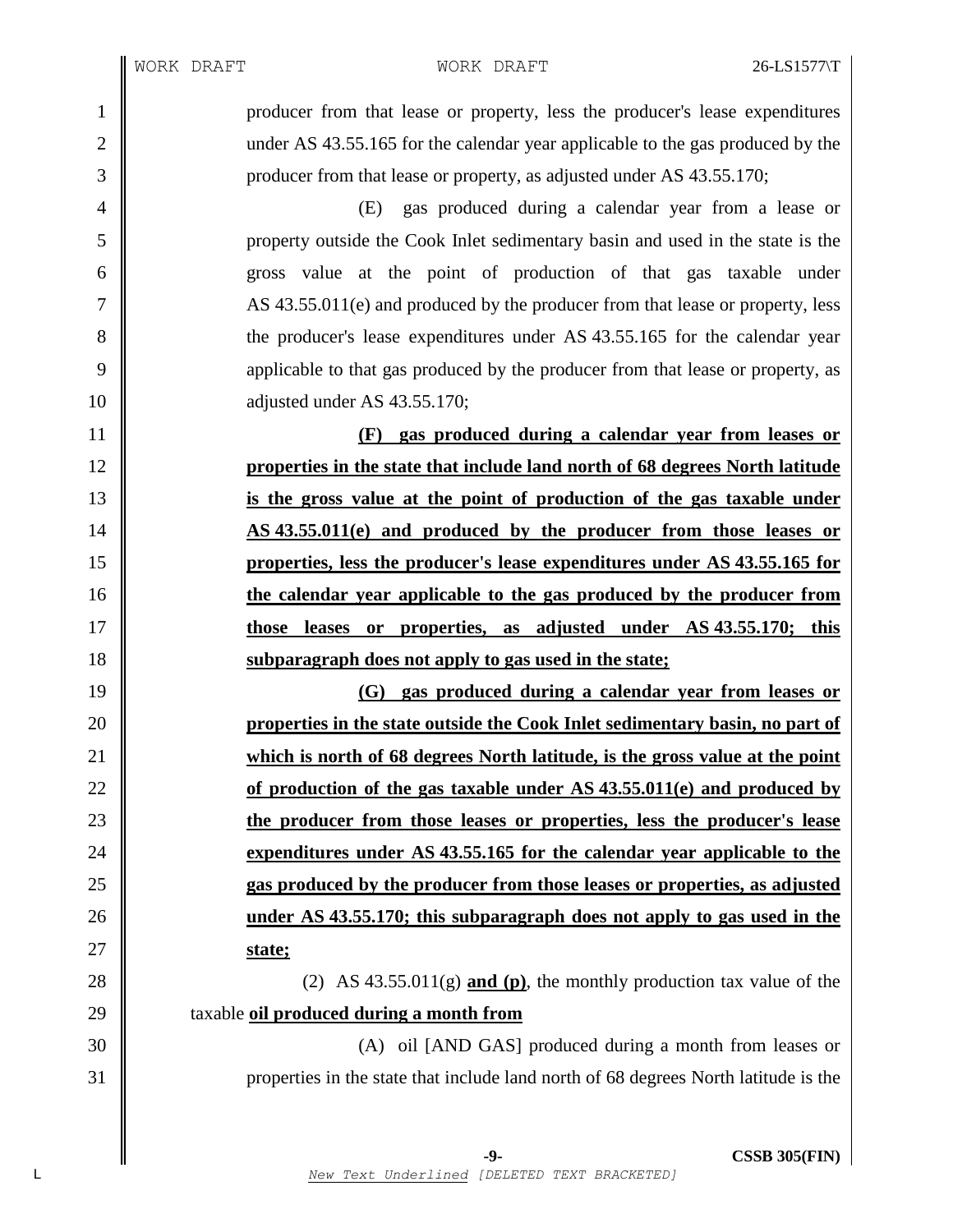WORK DRAFT WORK DRAFT 26-LS1577\T

 producer from that lease or property, less the producer's lease expenditures 2 under AS 43.55.165 for the calendar year applicable to the gas produced by the 3 producer from that lease or property, as adjusted under AS 43.55.170;

 (E) gas produced during a calendar year from a lease or property outside the Cook Inlet sedimentary basin and used in the state is the gross value at the point of production of that gas taxable under AS 43.55.011(e) and produced by the producer from that lease or property, less the producer's lease expenditures under AS 43.55.165 for the calendar year applicable to that gas produced by the producer from that lease or property, as 10 diusted under AS 43.55.170;

 **(F) gas produced during a calendar year from leases or properties in the state that include land north of 68 degrees North latitude is the gross value at the point of production of the gas taxable under AS 43.55.011(e) and produced by the producer from those leases or properties, less the producer's lease expenditures under AS 43.55.165 for the calendar year applicable to the gas produced by the producer from those leases or properties, as adjusted under AS 43.55.170; this subparagraph does not apply to gas used in the state;**

 **(G) gas produced during a calendar year from leases or properties in the state outside the Cook Inlet sedimentary basin, no part of which is north of 68 degrees North latitude, is the gross value at the point of production of the gas taxable under AS 43.55.011(e) and produced by the producer from those leases or properties, less the producer's lease expenditures under AS 43.55.165 for the calendar year applicable to the gas produced by the producer from those leases or properties, as adjusted under AS 43.55.170; this subparagraph does not apply to gas used in the state;**

28 (2) AS 43.55.011(g) **and** (p), the monthly production tax value of the taxable **oil produced during a month from**

 (A) oil [AND GAS] produced during a month from leases or properties in the state that include land north of 68 degrees North latitude is the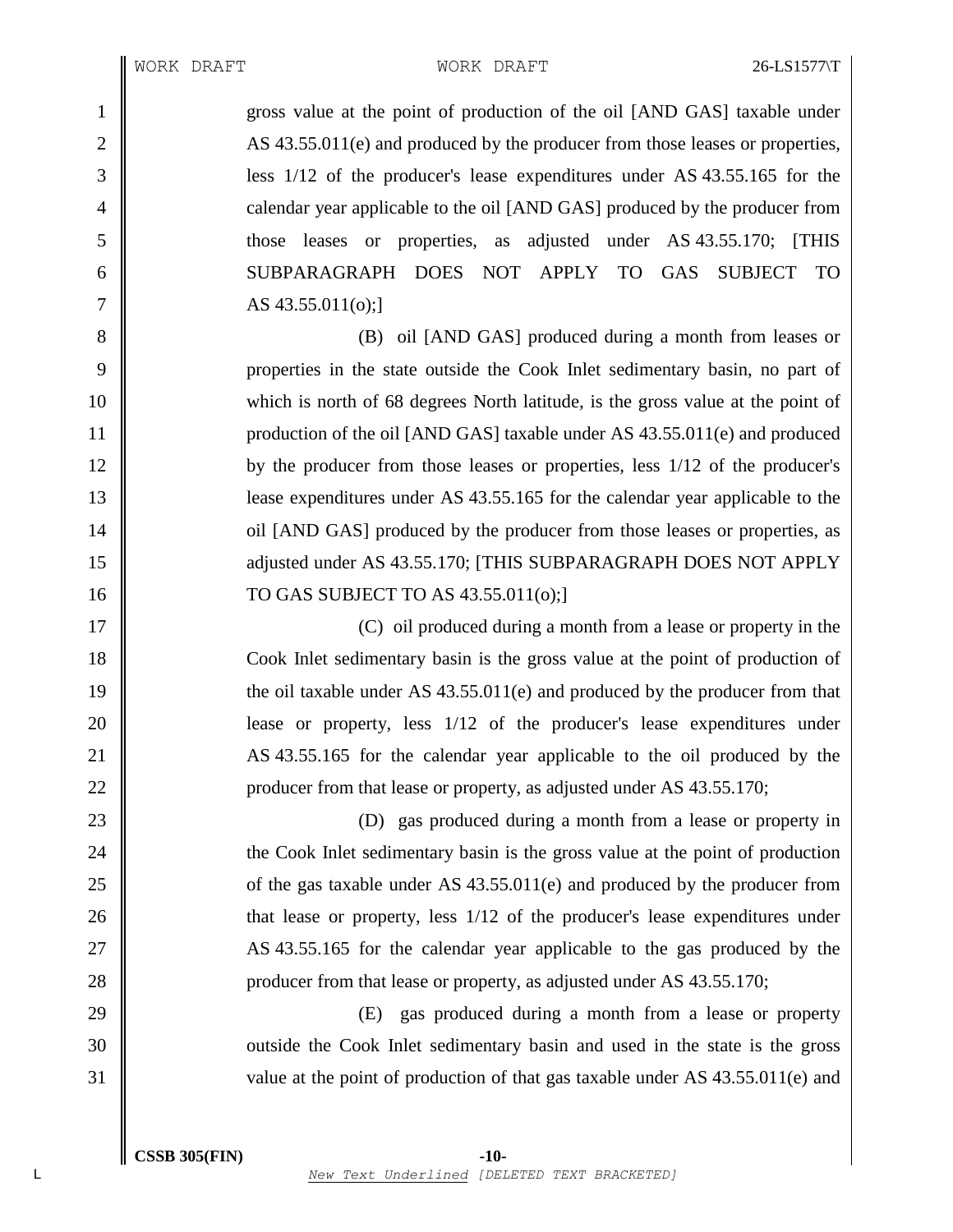1 gross value at the point of production of the oil [AND GAS] taxable under 2 AS 43.55.011(e) and produced by the producer from those leases or properties, 3 less 1/12 of the producer's lease expenditures under AS 43.55.165 for the 4 calendar year applicable to the oil [AND GAS] produced by the producer from 5 those leases or properties, as adjusted under AS 43.55.170; [THIS 6 SUBPARAGRAPH DOES NOT APPLY TO GAS SUBJECT TO  $7 \parallel$  AS 43.55.011(o);

**(B)** oil [AND GAS] produced during a month from leases or properties in the state outside the Cook Inlet sedimentary basin, no part of which is north of 68 degrees North latitude, is the gross value at the point of 11 | production of the oil [AND GAS] taxable under AS 43.55.011(e) and produced by the producer from those leases or properties, less 1/12 of the producer's lease expenditures under AS 43.55.165 for the calendar year applicable to the **||** oil [AND GAS] produced by the producer from those leases or properties, as 15 || adjusted under AS 43.55.170; [THIS SUBPARAGRAPH DOES NOT APPLY TO GAS SUBJECT TO AS 43.55.011(o);]

17 || 18 Cook Inlet sedimentary basin is the gross value at the point of production of 19 the oil taxable under AS 43.55.011(e) and produced by the producer from that 20 || lease or property, less  $1/12$  of the producer's lease expenditures under 21 AS 43.55.165 for the calendar year applicable to the oil produced by the 22 **producer from that lease or property, as adjusted under AS 43.55.170;** 

23 (D) gas produced during a month from a lease or property in **the Cook Inlet sedimentary basin is the gross value at the point of production**  $\parallel$  of the gas taxable under AS 43.55.011(e) and produced by the producer from **that lease or property, less** 1/12 of the producer's lease expenditures under 27 AS 43.55.165 for the calendar year applicable to the gas produced by the **producer from that lease or property, as adjusted under AS 43.55.170;** 

29 (E) gas produced during a month from a lease or property 30 || outside the Cook Inlet sedimentary basin and used in the state is the gross 31 value at the point of production of that gas taxable under AS 43.55.011(e) and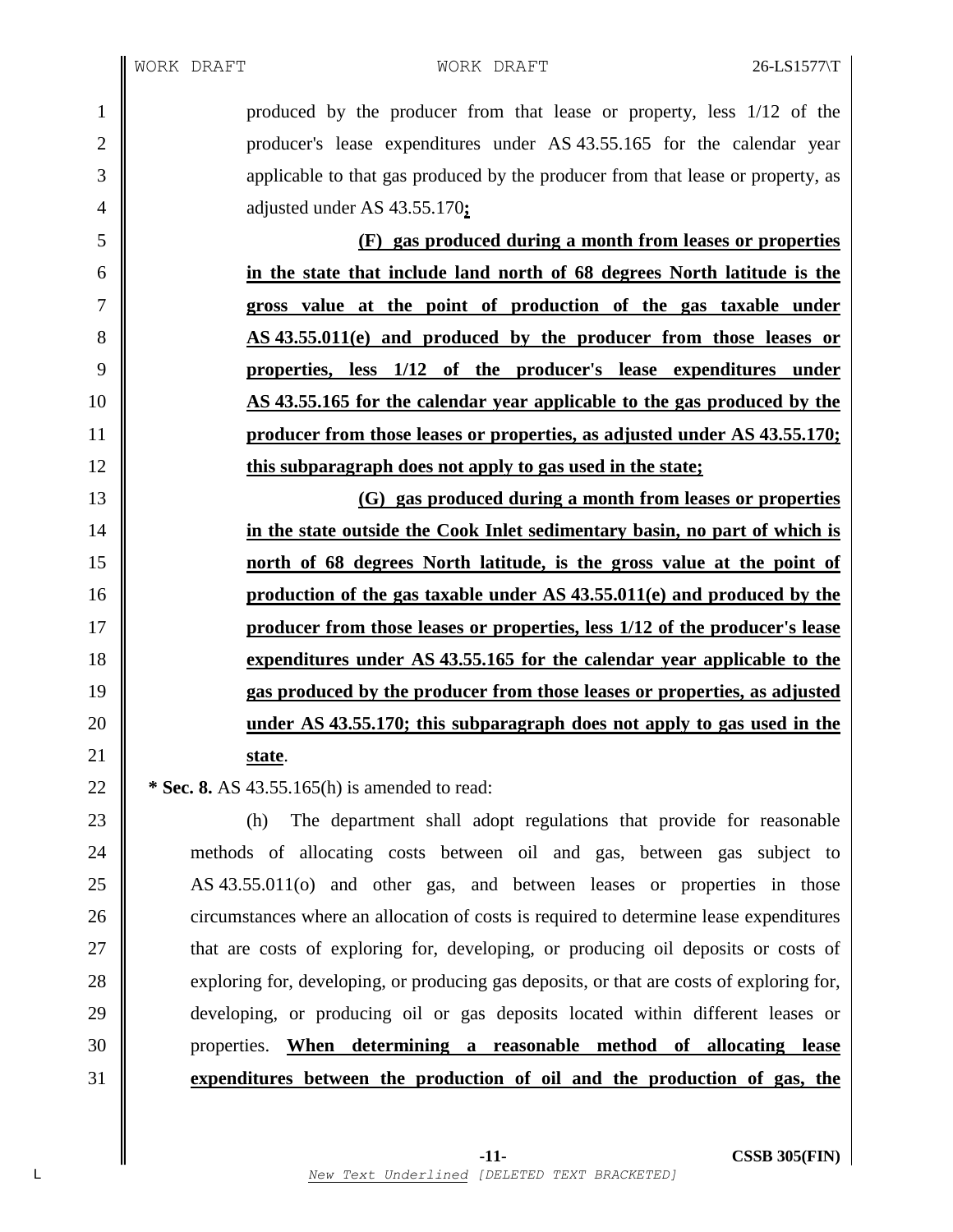produced by the producer from that lease or property, less 1/12 of the 2 || producer's lease expenditures under AS 43.55.165 for the calendar year applicable to that gas produced by the producer from that lease or property, as adjusted under AS 43.55.170**;**

 **(F) gas produced during a month from leases or properties in the state that include land north of 68 degrees North latitude is the gross value at the point of production of the gas taxable under AS 43.55.011(e) and produced by the producer from those leases or properties, less 1/12 of the producer's lease expenditures under AS 43.55.165 for the calendar year applicable to the gas produced by the producer from those leases or properties, as adjusted under AS 43.55.170; this subparagraph does not apply to gas used in the state;**

 **(G) gas produced during a month from leases or properties in the state outside the Cook Inlet sedimentary basin, no part of which is north of 68 degrees North latitude, is the gross value at the point of production of the gas taxable under AS 43.55.011(e) and produced by the producer from those leases or properties, less 1/12 of the producer's lease expenditures under AS 43.55.165 for the calendar year applicable to the gas produced by the producer from those leases or properties, as adjusted under AS 43.55.170; this subparagraph does not apply to gas used in the state**.

**\*** Sec. 8. AS 43.55.165(h) is amended to read:

 (h) The department shall adopt regulations that provide for reasonable methods of allocating costs between oil and gas, between gas subject to 25 AS 43.55.011(o) and other gas, and between leases or properties in those 26 circumstances where an allocation of costs is required to determine lease expenditures  $\parallel$  that are costs of exploring for, developing, or producing oil deposits or costs of 28 exploring for, developing, or producing gas deposits, or that are costs of exploring for, developing, or producing oil or gas deposits located within different leases or properties. **When determining a reasonable method of allocating lease expenditures between the production of oil and the production of gas, the**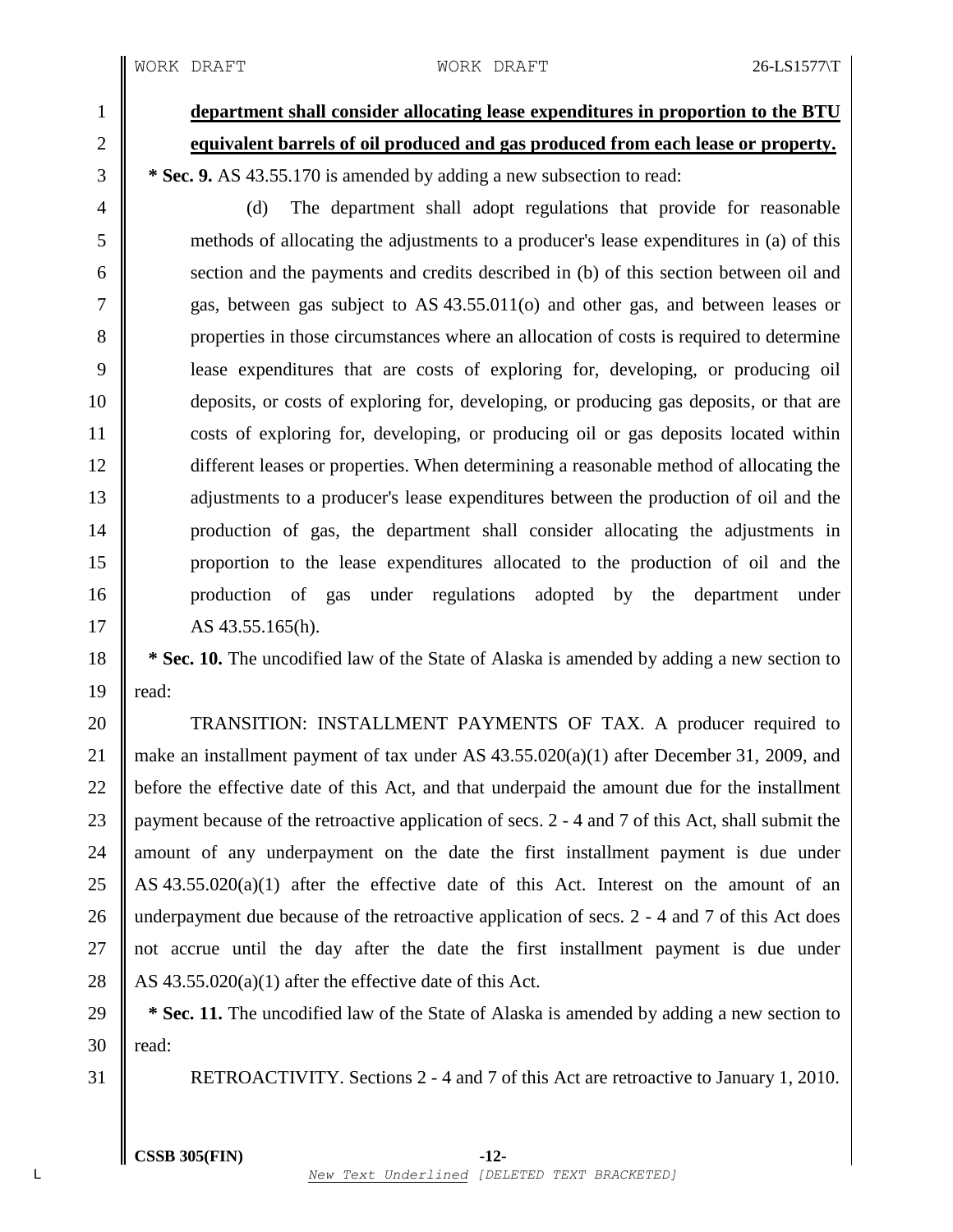1 **department shall consider allocating lease expenditures in proportion to the BTU** 2 **equivalent barrels of oil produced and gas produced from each lease or property.** 3 **\* Sec. 9.** AS 43.55.170 is amended by adding a new subsection to read:

 (d) The department shall adopt regulations that provide for reasonable methods of allocating the adjustments to a producer's lease expenditures in (a) of this 6 section and the payments and credits described in (b) of this section between oil and gas, between gas subject to AS 43.55.011(o) and other gas, and between leases or properties in those circumstances where an allocation of costs is required to determine lease expenditures that are costs of exploring for, developing, or producing oil deposits, or costs of exploring for, developing, or producing gas deposits, or that are costs of exploring for, developing, or producing oil or gas deposits located within different leases or properties. When determining a reasonable method of allocating the 13 dijustments to a producer's lease expenditures between the production of oil and the production of gas, the department shall consider allocating the adjustments in proportion to the lease expenditures allocated to the production of oil and the 16 || production of gas under regulations adopted by the department under

 $17 \parallel$  AS 43.55.165(h).

18 **\* Sec. 10.** The uncodified law of the State of Alaska is amended by adding a new section to 19  $\parallel$  read:

20 TRANSITION: INSTALLMENT PAYMENTS OF TAX. A producer required to 21 || make an installment payment of tax under AS  $43.55.020(a)(1)$  after December 31, 2009, and 22 **before** the effective date of this Act, and that underpaid the amount due for the installment 23 payment because of the retroactive application of secs. 2 - 4 and 7 of this Act, shall submit the 24 || amount of any underpayment on the date the first installment payment is due under 25 AS 43.55.020(a)(1) after the effective date of this Act. Interest on the amount of an 26 underpayment due because of the retroactive application of secs. 2 - 4 and 7 of this Act does 27 || not accrue until the day after the date the first installment payment is due under 28  $\parallel$  AS 43.55.020(a)(1) after the effective date of this Act.

29 **\* Sec. 11.** The uncodified law of the State of Alaska is amended by adding a new section to  $30$  | read:

31 RETROACTIVITY. Sections 2 - 4 and 7 of this Act are retroactive to January 1, 2010.